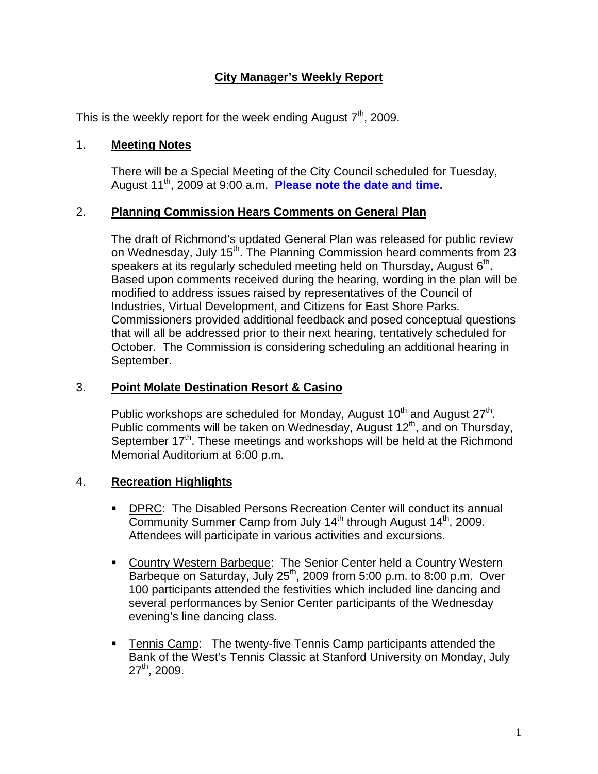## **City Manager's Weekly Report**

This is the weekly report for the week ending August  $7<sup>th</sup>$ , 2009.

#### 1. **Meeting Notes**

There will be a Special Meeting of the City Council scheduled for Tuesday, August 11<sup>th</sup>, 2009 at 9:00 a.m. **Please note the date and time.** 

### 2. **Planning Commission Hears Comments on General Plan**

The draft of Richmond's updated General Plan was released for public review on Wednesday, July 15<sup>th</sup>. The Planning Commission heard comments from 23 speakers at its regularly scheduled meeting held on Thursday, August  $6<sup>th</sup>$ . Based upon comments received during the hearing, wording in the plan will be modified to address issues raised by representatives of the Council of Industries, Virtual Development, and Citizens for East Shore Parks. Commissioners provided additional feedback and posed conceptual questions that will all be addressed prior to their next hearing, tentatively scheduled for October. The Commission is considering scheduling an additional hearing in September.

#### 3. **Point Molate Destination Resort & Casino**

Public workshops are scheduled for Monday, August 10<sup>th</sup> and August 27<sup>th</sup>. Public comments will be taken on Wednesday, August 12<sup>th</sup>, and on Thursday, September 17<sup>th</sup>. These meetings and workshops will be held at the Richmond Memorial Auditorium at 6:00 p.m.

## 4. **Recreation Highlights**

- **DPRC:** The Disabled Persons Recreation Center will conduct its annual Community Summer Camp from July  $14<sup>th</sup>$  through August  $14<sup>th</sup>$ , 2009. Attendees will participate in various activities and excursions.
- Country Western Barbeque: The Senior Center held a Country Western Barbeque on Saturday, July  $25<sup>th</sup>$ , 2009 from 5:00 p.m. to 8:00 p.m. Over 100 participants attended the festivities which included line dancing and several performances by Senior Center participants of the Wednesday evening's line dancing class.
- Tennis Camp: The twenty-five Tennis Camp participants attended the Bank of the West's Tennis Classic at Stanford University on Monday, July 27th, 2009.